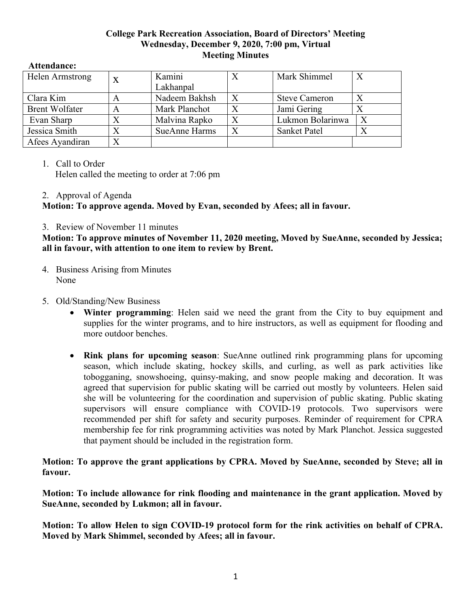## **College Park Recreation Association, Board of Directors' Meeting Wednesday, December 9, 2020, 7:00 pm, Virtual Meeting Minutes**

#### **Attendance:**

| Helen Armstrong       | X | Kamini               |   | Mark Shimmel         |  |
|-----------------------|---|----------------------|---|----------------------|--|
|                       |   | Lakhanpal            |   |                      |  |
| Clara Kim             | A | Nadeem Bakhsh        | Χ | <b>Steve Cameron</b> |  |
| <b>Brent Wolfater</b> | A | Mark Planchot        |   | Jami Gering          |  |
| Evan Sharp            | Χ | Malvina Rapko        | Χ | Lukmon Bolarinwa     |  |
| Jessica Smith         | X | <b>SueAnne Harms</b> |   | <b>Sanket Patel</b>  |  |
| Afees Ayandiran       | Χ |                      |   |                      |  |

## 1. Call to Order

Helen called the meeting to order at 7:06 pm

## 2. Approval of Agenda

**Motion: To approve agenda. Moved by Evan, seconded by Afees; all in favour.**

# 3. Review of November 11 minutes

**Motion: To approve minutes of November 11, 2020 meeting, Moved by SueAnne, seconded by Jessica; all in favour, with attention to one item to review by Brent.**

- 4. Business Arising from Minutes None
- 5. Old/Standing/New Business
	- **Winter programming**: Helen said we need the grant from the City to buy equipment and supplies for the winter programs, and to hire instructors, as well as equipment for flooding and more outdoor benches.
	- **Rink plans for upcoming season**: SueAnne outlined rink programming plans for upcoming season, which include skating, hockey skills, and curling, as well as park activities like tobogganing, snowshoeing, quinsy-making, and snow people making and decoration. It was agreed that supervision for public skating will be carried out mostly by volunteers. Helen said she will be volunteering for the coordination and supervision of public skating. Public skating supervisors will ensure compliance with COVID-19 protocols. Two supervisors were recommended per shift for safety and security purposes. Reminder of requirement for CPRA membership fee for rink programming activities was noted by Mark Planchot. Jessica suggested that payment should be included in the registration form.

**Motion: To approve the grant applications by CPRA. Moved by SueAnne, seconded by Steve; all in favour.**

**Motion: To include allowance for rink flooding and maintenance in the grant application. Moved by SueAnne, seconded by Lukmon; all in favour.**

**Motion: To allow Helen to sign COVID-19 protocol form for the rink activities on behalf of CPRA. Moved by Mark Shimmel, seconded by Afees; all in favour.**